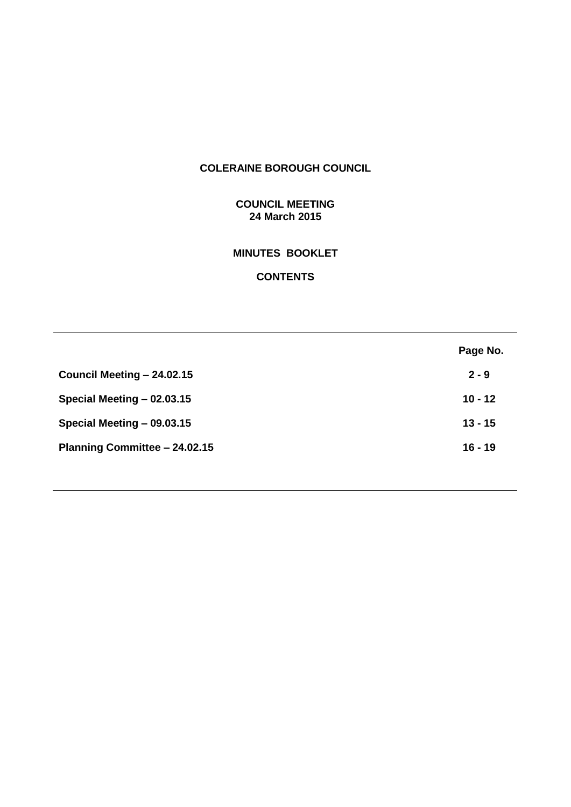# **COLERAINE BOROUGH COUNCIL**

# **COUNCIL MEETING 24 March 2015**

# **MINUTES BOOKLET**

# **CONTENTS**

|                               | Page No.  |
|-------------------------------|-----------|
| Council Meeting - 24.02.15    | $2 - 9$   |
| Special Meeting - 02.03.15    | $10 - 12$ |
| Special Meeting - 09.03.15    | $13 - 15$ |
| Planning Committee - 24.02.15 | $16 - 19$ |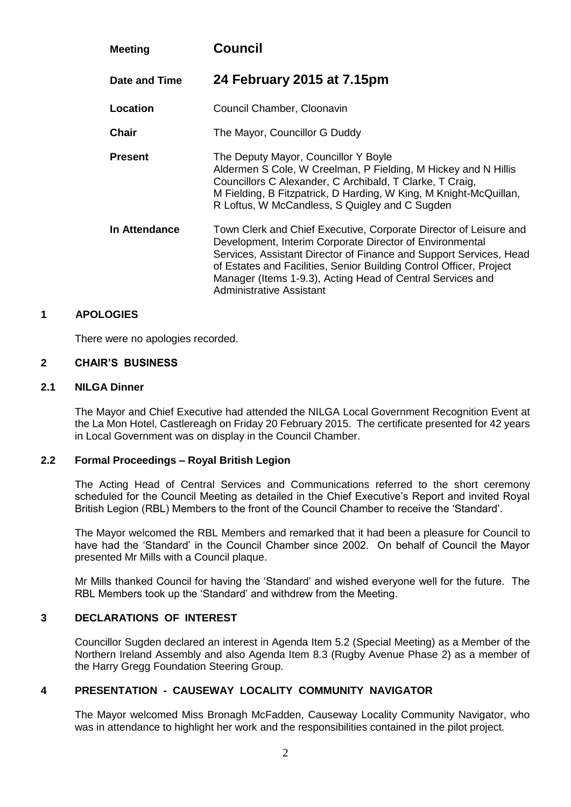| <b>Meeting</b> | <b>Council</b>                                                                                                                                                                                                                                                                                                                                                       |
|----------------|----------------------------------------------------------------------------------------------------------------------------------------------------------------------------------------------------------------------------------------------------------------------------------------------------------------------------------------------------------------------|
| Date and Time  | 24 February 2015 at 7.15pm                                                                                                                                                                                                                                                                                                                                           |
| Location       | Council Chamber, Cloonavin                                                                                                                                                                                                                                                                                                                                           |
| <b>Chair</b>   | The Mayor, Councillor G Duddy                                                                                                                                                                                                                                                                                                                                        |
| <b>Present</b> | The Deputy Mayor, Councillor Y Boyle<br>Aldermen S Cole, W Creelman, P Fielding, M Hickey and N Hillis<br>Councillors C Alexander, C Archibald, T Clarke, T Craig,<br>M Fielding, B Fitzpatrick, D Harding, W King, M Knight-McQuillan,<br>R Loftus, W McCandless, S Quigley and C Sugden                                                                            |
| In Attendance  | Town Clerk and Chief Executive, Corporate Director of Leisure and<br>Development, Interim Corporate Director of Environmental<br>Services, Assistant Director of Finance and Support Services, Head<br>of Estates and Facilities, Senior Building Control Officer, Project<br>Manager (Items 1-9.3), Acting Head of Central Services and<br>Administrative Assistant |

### **1 APOLOGIES**

There were no apologies recorded.

#### **2 CHAIR'S BUSINESS**

#### **2.1 NILGA Dinner**

The Mayor and Chief Executive had attended the NILGA Local Government Recognition Event at the La Mon Hotel, Castlereagh on Friday 20 February 2015. The certificate presented for 42 years in Local Government was on display in the Council Chamber.

# **2.2 Formal Proceedings – Royal British Legion**

The Acting Head of Central Services and Communications referred to the short ceremony scheduled for the Council Meeting as detailed in the Chief Executive's Report and invited Royal British Legion (RBL) Members to the front of the Council Chamber to receive the 'Standard'.

The Mayor welcomed the RBL Members and remarked that it had been a pleasure for Council to have had the 'Standard' in the Council Chamber since 2002. On behalf of Council the Mayor presented Mr Mills with a Council plaque.

Mr Mills thanked Council for having the 'Standard' and wished everyone well for the future. The RBL Members took up the 'Standard' and withdrew from the Meeting.

# **3 DECLARATIONS OF INTEREST**

Councillor Sugden declared an interest in Agenda Item 5.2 (Special Meeting) as a Member of the Northern Ireland Assembly and also Agenda Item 8.3 (Rugby Avenue Phase 2) as a member of the Harry Gregg Foundation Steering Group.

# **4 PRESENTATION - CAUSEWAY LOCALITY COMMUNITY NAVIGATOR**

The Mayor welcomed Miss Bronagh McFadden, Causeway Locality Community Navigator, who was in attendance to highlight her work and the responsibilities contained in the pilot project.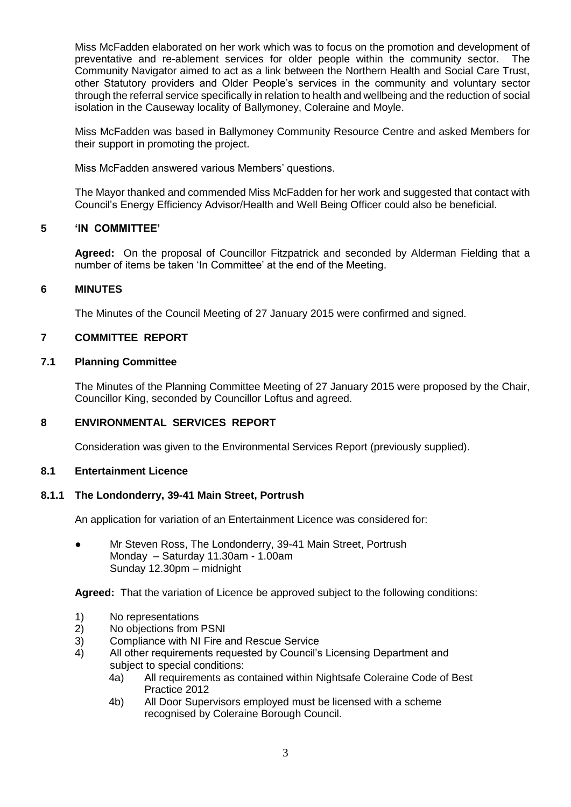Miss McFadden elaborated on her work which was to focus on the promotion and development of preventative and re-ablement services for older people within the community sector. The Community Navigator aimed to act as a link between the Northern Health and Social Care Trust, other Statutory providers and Older People's services in the community and voluntary sector through the referral service specifically in relation to health and wellbeing and the reduction of social isolation in the Causeway locality of Ballymoney, Coleraine and Moyle.

Miss McFadden was based in Ballymoney Community Resource Centre and asked Members for their support in promoting the project.

Miss McFadden answered various Members' questions.

The Mayor thanked and commended Miss McFadden for her work and suggested that contact with Council's Energy Efficiency Advisor/Health and Well Being Officer could also be beneficial.

# **5 'IN COMMITTEE'**

**Agreed:** On the proposal of Councillor Fitzpatrick and seconded by Alderman Fielding that a number of items be taken 'In Committee' at the end of the Meeting.

# **6 MINUTES**

The Minutes of the Council Meeting of 27 January 2015 were confirmed and signed.

# **7 COMMITTEE REPORT**

# **7.1 Planning Committee**

The Minutes of the Planning Committee Meeting of 27 January 2015 were proposed by the Chair, Councillor King, seconded by Councillor Loftus and agreed.

# **8 ENVIRONMENTAL SERVICES REPORT**

Consideration was given to the Environmental Services Report (previously supplied).

# **8.1 Entertainment Licence**

# **8.1.1 The Londonderry, 39-41 Main Street, Portrush**

An application for variation of an Entertainment Licence was considered for:

● Mr Steven Ross, The Londonderry, 39-41 Main Street, Portrush Monday – Saturday 11.30am - 1.00am Sunday 12.30pm – midnight

**Agreed:** That the variation of Licence be approved subject to the following conditions:

- 1) No representations<br>2) No objections from
- No objections from PSNI
- 3) Compliance with NI Fire and Rescue Service
- 4) All other requirements requested by Council's Licensing Department and subject to special conditions:
	- 4a) All requirements as contained within Nightsafe Coleraine Code of Best Practice 2012
	- 4b) All Door Supervisors employed must be licensed with a scheme recognised by Coleraine Borough Council.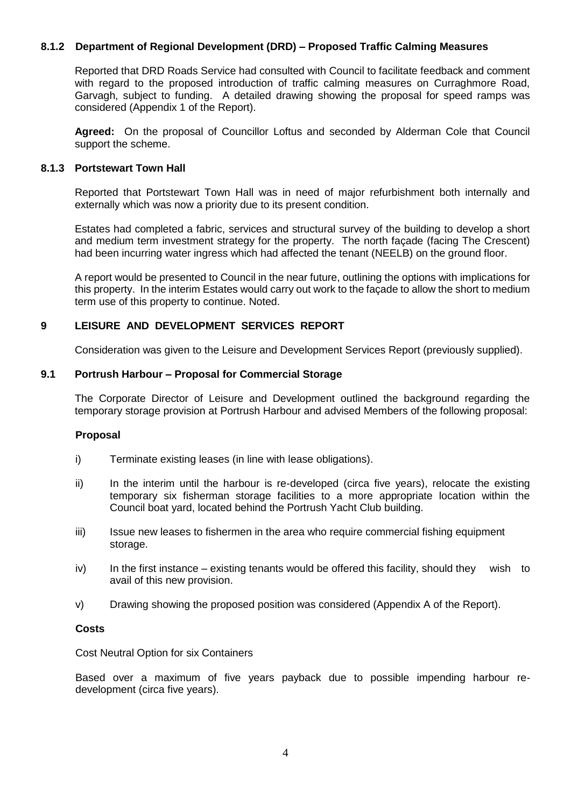# **8.1.2 Department of Regional Development (DRD) – Proposed Traffic Calming Measures**

Reported that DRD Roads Service had consulted with Council to facilitate feedback and comment with regard to the proposed introduction of traffic calming measures on Curraghmore Road. Garvagh, subject to funding. A detailed drawing showing the proposal for speed ramps was considered (Appendix 1 of the Report).

**Agreed:** On the proposal of Councillor Loftus and seconded by Alderman Cole that Council support the scheme.

### **8.1.3 Portstewart Town Hall**

Reported that Portstewart Town Hall was in need of major refurbishment both internally and externally which was now a priority due to its present condition.

Estates had completed a fabric, services and structural survey of the building to develop a short and medium term investment strategy for the property. The north façade (facing The Crescent) had been incurring water ingress which had affected the tenant (NEELB) on the ground floor.

A report would be presented to Council in the near future, outlining the options with implications for this property. In the interim Estates would carry out work to the façade to allow the short to medium term use of this property to continue. Noted.

# **9 LEISURE AND DEVELOPMENT SERVICES REPORT**

Consideration was given to the Leisure and Development Services Report (previously supplied).

### **9.1 Portrush Harbour – Proposal for Commercial Storage**

The Corporate Director of Leisure and Development outlined the background regarding the temporary storage provision at Portrush Harbour and advised Members of the following proposal:

#### **Proposal**

- i) Terminate existing leases (in line with lease obligations).
- ii) In the interim until the harbour is re-developed (circa five years), relocate the existing temporary six fisherman storage facilities to a more appropriate location within the Council boat yard, located behind the Portrush Yacht Club building.
- iii) Issue new leases to fishermen in the area who require commercial fishing equipment storage.
- iv) In the first instance existing tenants would be offered this facility, should they wish to avail of this new provision.
- v) Drawing showing the proposed position was considered (Appendix A of the Report).

#### **Costs**

Cost Neutral Option for six Containers

Based over a maximum of five years payback due to possible impending harbour redevelopment (circa five years).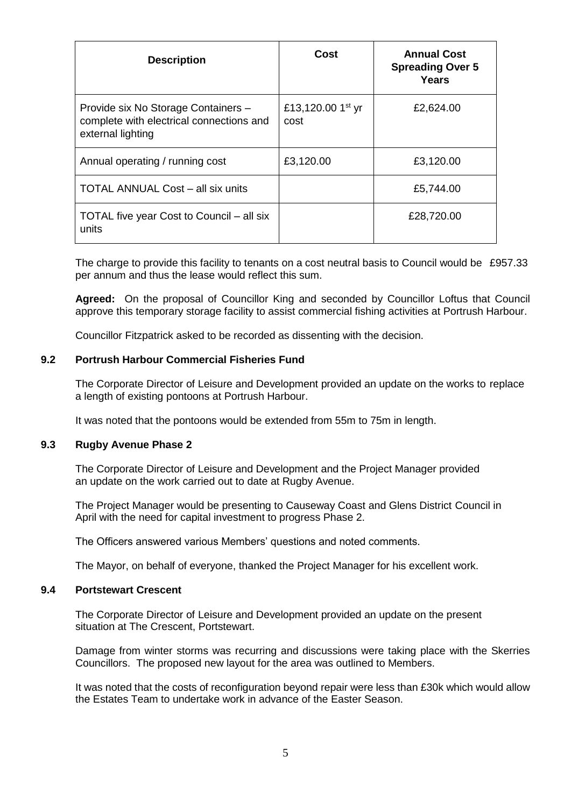| <b>Description</b>                                                                                   | Cost                                  | <b>Annual Cost</b><br><b>Spreading Over 5</b><br>Years |
|------------------------------------------------------------------------------------------------------|---------------------------------------|--------------------------------------------------------|
| Provide six No Storage Containers -<br>complete with electrical connections and<br>external lighting | £13,120.00 1 <sup>st</sup> yr<br>cost | £2,624.00                                              |
| Annual operating / running cost                                                                      | £3,120.00                             | £3,120.00                                              |
| <b>TOTAL ANNUAL Cost – all six units</b>                                                             |                                       | £5,744.00                                              |
| TOTAL five year Cost to Council – all six<br>units                                                   |                                       | £28,720.00                                             |

The charge to provide this facility to tenants on a cost neutral basis to Council would be £957.33 per annum and thus the lease would reflect this sum.

**Agreed:** On the proposal of Councillor King and seconded by Councillor Loftus that Council approve this temporary storage facility to assist commercial fishing activities at Portrush Harbour.

Councillor Fitzpatrick asked to be recorded as dissenting with the decision.

## **9.2 Portrush Harbour Commercial Fisheries Fund**

The Corporate Director of Leisure and Development provided an update on the works to replace a length of existing pontoons at Portrush Harbour.

It was noted that the pontoons would be extended from 55m to 75m in length.

#### **9.3 Rugby Avenue Phase 2**

The Corporate Director of Leisure and Development and the Project Manager provided an update on the work carried out to date at Rugby Avenue.

The Project Manager would be presenting to Causeway Coast and Glens District Council in April with the need for capital investment to progress Phase 2.

The Officers answered various Members' questions and noted comments.

The Mayor, on behalf of everyone, thanked the Project Manager for his excellent work.

#### **9.4 Portstewart Crescent**

The Corporate Director of Leisure and Development provided an update on the present situation at The Crescent, Portstewart.

Damage from winter storms was recurring and discussions were taking place with the Skerries Councillors. The proposed new layout for the area was outlined to Members.

It was noted that the costs of reconfiguration beyond repair were less than £30k which would allow the Estates Team to undertake work in advance of the Easter Season.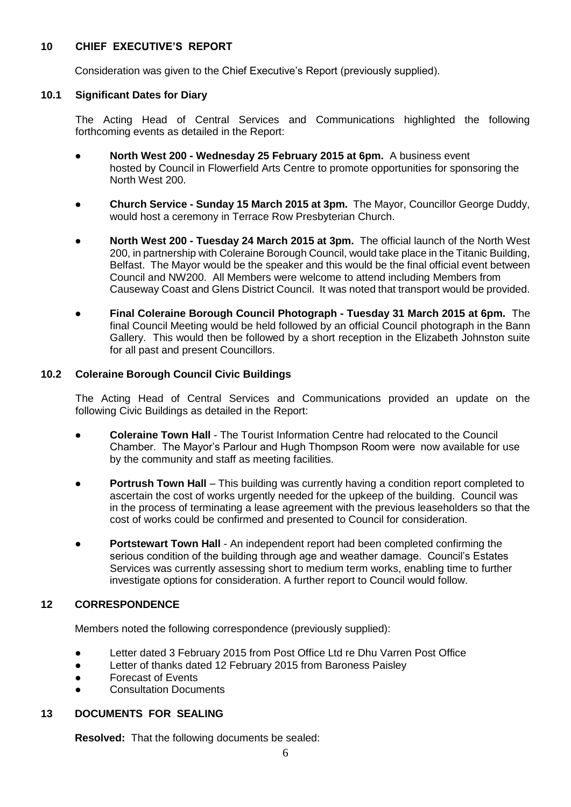# **10 CHIEF EXECUTIVE'S REPORT**

Consideration was given to the Chief Executive's Report (previously supplied).

## **10.1 Significant Dates for Diary**

The Acting Head of Central Services and Communications highlighted the following forthcoming events as detailed in the Report:

- **North West 200 - Wednesday 25 February 2015 at 6pm.** A business event hosted by Council in Flowerfield Arts Centre to promote opportunities for sponsoring the North West 200.
- **Church Service - Sunday 15 March 2015 at 3pm.** The Mayor, Councillor George Duddy, would host a ceremony in Terrace Row Presbyterian Church.
- **North West 200 - Tuesday 24 March 2015 at 3pm.** The official launch of the North West 200, in partnership with Coleraine Borough Council, would take place in the Titanic Building, Belfast. The Mayor would be the speaker and this would be the final official event between Council and NW200. All Members were welcome to attend including Members from Causeway Coast and Glens District Council. It was noted that transport would be provided.
- **Final Coleraine Borough Council Photograph - Tuesday 31 March 2015 at 6pm.** The final Council Meeting would be held followed by an official Council photograph in the Bann Gallery. This would then be followed by a short reception in the Elizabeth Johnston suite for all past and present Councillors.

### **10.2 Coleraine Borough Council Civic Buildings**

The Acting Head of Central Services and Communications provided an update on the following Civic Buildings as detailed in the Report:

- **Coleraine Town Hall** The Tourist Information Centre had relocated to the Council Chamber. The Mayor's Parlour and Hugh Thompson Room were now available for use by the community and staff as meeting facilities.
- **Portrush Town Hall** This building was currently having a condition report completed to ascertain the cost of works urgently needed for the upkeep of the building. Council was in the process of terminating a lease agreement with the previous leaseholders so that the cost of works could be confirmed and presented to Council for consideration.
- **Portstewart Town Hall** An independent report had been completed confirming the serious condition of the building through age and weather damage. Council's Estates Services was currently assessing short to medium term works, enabling time to further investigate options for consideration. A further report to Council would follow.

# **12 CORRESPONDENCE**

Members noted the following correspondence (previously supplied):

- Letter dated 3 February 2015 from Post Office Ltd re Dhu Varren Post Office
- Letter of thanks dated 12 February 2015 from Baroness Paisley
- Forecast of Events
- Consultation Documents

# **13 DOCUMENTS FOR SEALING**

**Resolved:** That the following documents be sealed: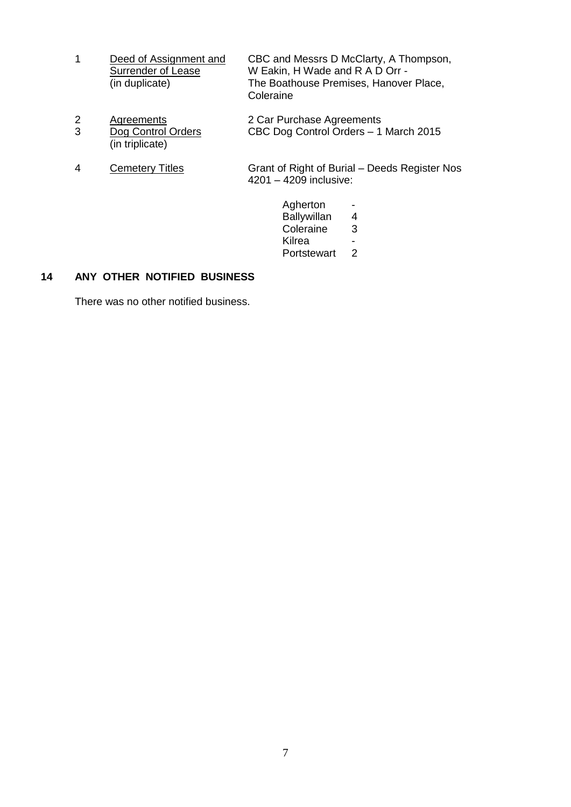- 1 Deed of Assignment and CBC and Messrs D McClarty, A Thompson,<br>Surrender of Lease W Eakin, H Wade and R A D Orr -W Eakin, H Wade and R A D Orr -(in duplicate) The Boathouse Premises, Hanover Place, Coleraine
- 2 Agreements<br>
2 Car Purchase Agreements<br>
2 Dog Control Orders<br>
2 CBC Dog Control Orders<br>
1 CBC Dog Control Orders – 1 March 2015 (in triplicate)
- 4 Cemetery Titles Grant of Right of Burial Deeds Register Nos 4201 – 4209 inclusive:
	- Agherton Ballywillan 4 Coleraine 3 Kilrea -<br>Portstewart 2 Portstewart

# **14 ANY OTHER NOTIFIED BUSINESS**

There was no other notified business.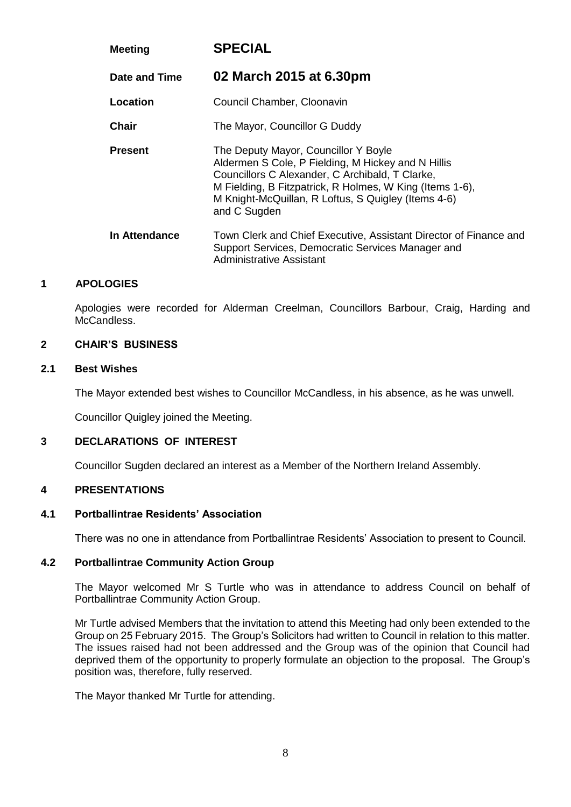| <b>Meeting</b> | <b>SPECIAL</b>                                                                                                                                                                                                                                                                   |
|----------------|----------------------------------------------------------------------------------------------------------------------------------------------------------------------------------------------------------------------------------------------------------------------------------|
| Date and Time  | 02 March 2015 at 6.30pm                                                                                                                                                                                                                                                          |
| Location       | Council Chamber, Cloonavin                                                                                                                                                                                                                                                       |
| Chair          | The Mayor, Councillor G Duddy                                                                                                                                                                                                                                                    |
| <b>Present</b> | The Deputy Mayor, Councillor Y Boyle<br>Aldermen S Cole, P Fielding, M Hickey and N Hillis<br>Councillors C Alexander, C Archibald, T Clarke,<br>M Fielding, B Fitzpatrick, R Holmes, W King (Items 1-6),<br>M Knight-McQuillan, R Loftus, S Quigley (Items 4-6)<br>and C Sugden |
| In Attendance  | Town Clerk and Chief Executive, Assistant Director of Finance and<br>Support Services, Democratic Services Manager and<br>Administrative Assistant                                                                                                                               |

# **1 APOLOGIES**

Apologies were recorded for Alderman Creelman, Councillors Barbour, Craig, Harding and McCandless.

## **2 CHAIR'S BUSINESS**

#### **2.1 Best Wishes**

The Mayor extended best wishes to Councillor McCandless, in his absence, as he was unwell.

Councillor Quigley joined the Meeting.

# **3 DECLARATIONS OF INTEREST**

Councillor Sugden declared an interest as a Member of the Northern Ireland Assembly.

#### **4 PRESENTATIONS**

#### **4.1 Portballintrae Residents' Association**

There was no one in attendance from Portballintrae Residents' Association to present to Council.

# **4.2 Portballintrae Community Action Group**

The Mayor welcomed Mr S Turtle who was in attendance to address Council on behalf of Portballintrae Community Action Group.

Mr Turtle advised Members that the invitation to attend this Meeting had only been extended to the Group on 25 February 2015. The Group's Solicitors had written to Council in relation to this matter. The issues raised had not been addressed and the Group was of the opinion that Council had deprived them of the opportunity to properly formulate an objection to the proposal. The Group's position was, therefore, fully reserved.

The Mayor thanked Mr Turtle for attending.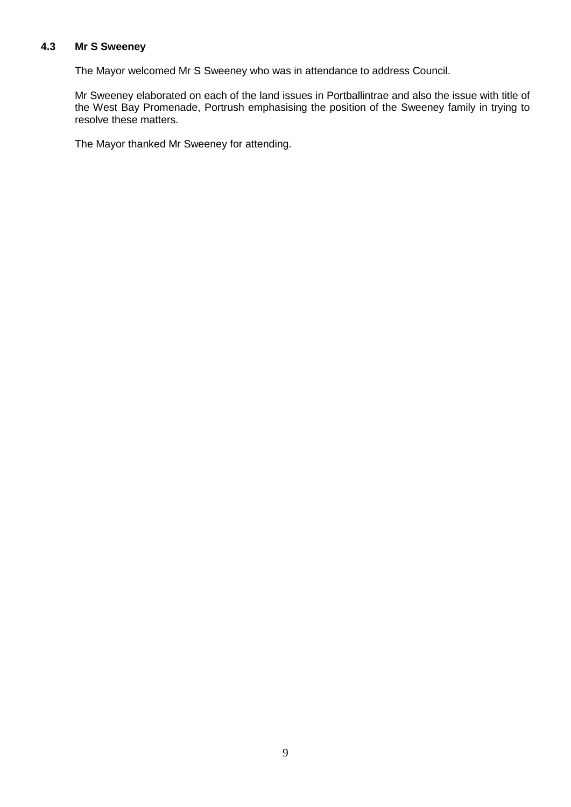## **4.3 Mr S Sweeney**

The Mayor welcomed Mr S Sweeney who was in attendance to address Council.

Mr Sweeney elaborated on each of the land issues in Portballintrae and also the issue with title of the West Bay Promenade, Portrush emphasising the position of the Sweeney family in trying to resolve these matters.

The Mayor thanked Mr Sweeney for attending.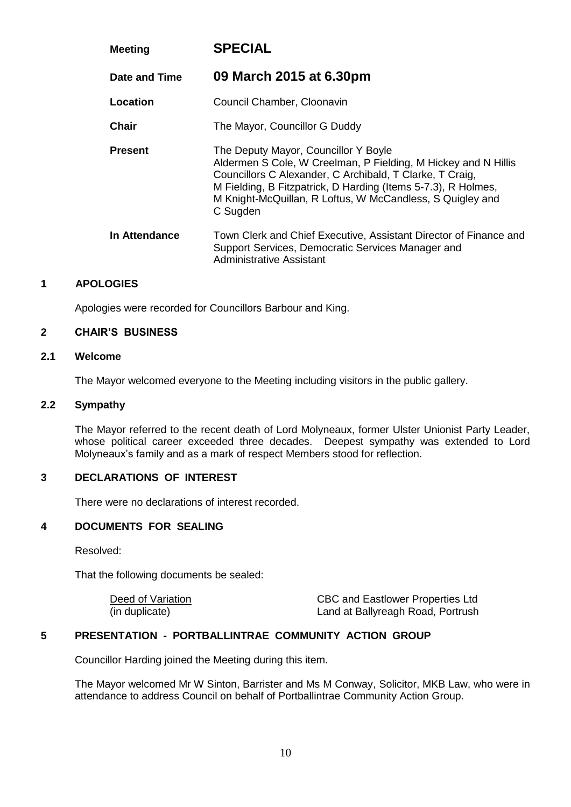| <b>Meeting</b> | <b>SPECIAL</b>                                                                                                                                                                                                                                                                                               |
|----------------|--------------------------------------------------------------------------------------------------------------------------------------------------------------------------------------------------------------------------------------------------------------------------------------------------------------|
| Date and Time  | 09 March 2015 at 6.30pm                                                                                                                                                                                                                                                                                      |
| Location       | Council Chamber, Cloonavin                                                                                                                                                                                                                                                                                   |
| Chair          | The Mayor, Councillor G Duddy                                                                                                                                                                                                                                                                                |
| <b>Present</b> | The Deputy Mayor, Councillor Y Boyle<br>Aldermen S Cole, W Creelman, P Fielding, M Hickey and N Hillis<br>Councillors C Alexander, C Archibald, T Clarke, T Craig,<br>M Fielding, B Fitzpatrick, D Harding (Items 5-7.3), R Holmes,<br>M Knight-McQuillan, R Loftus, W McCandless, S Quigley and<br>C Sugden |
| In Attendance  | Town Clerk and Chief Executive, Assistant Director of Finance and<br>Support Services, Democratic Services Manager and<br>Administrative Assistant                                                                                                                                                           |

# **1 APOLOGIES**

Apologies were recorded for Councillors Barbour and King.

#### **2 CHAIR'S BUSINESS**

# **2.1 Welcome**

The Mayor welcomed everyone to the Meeting including visitors in the public gallery.

# **2.2 Sympathy**

The Mayor referred to the recent death of Lord Molyneaux, former Ulster Unionist Party Leader, whose political career exceeded three decades. Deepest sympathy was extended to Lord Molyneaux's family and as a mark of respect Members stood for reflection.

# **3 DECLARATIONS OF INTEREST**

There were no declarations of interest recorded.

# **4 DOCUMENTS FOR SEALING**

Resolved:

That the following documents be sealed:

Deed of Variation CBC and Eastlower Properties Ltd (in duplicate) Land at Ballyreagh Road, Portrush

# **5 PRESENTATION - PORTBALLINTRAE COMMUNITY ACTION GROUP**

Councillor Harding joined the Meeting during this item.

The Mayor welcomed Mr W Sinton, Barrister and Ms M Conway, Solicitor, MKB Law, who were in attendance to address Council on behalf of Portballintrae Community Action Group.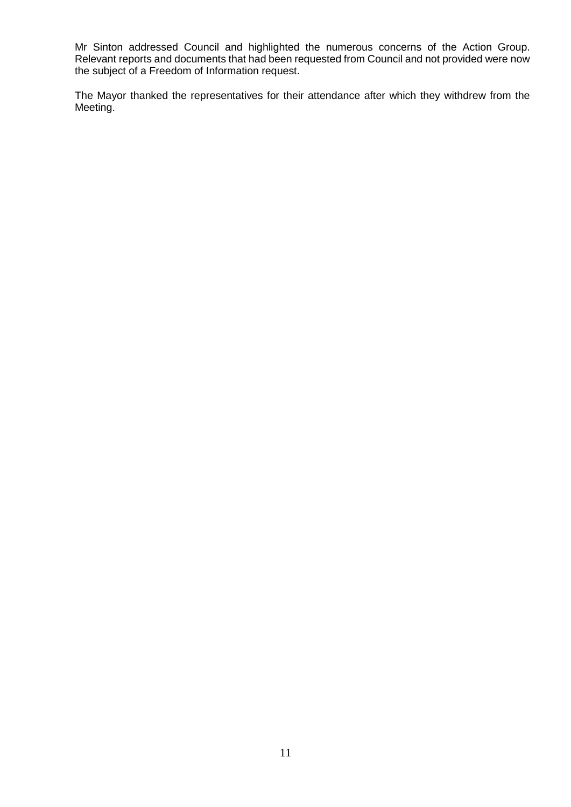Mr Sinton addressed Council and highlighted the numerous concerns of the Action Group. Relevant reports and documents that had been requested from Council and not provided were now the subject of a Freedom of Information request.

The Mayor thanked the representatives for their attendance after which they withdrew from the Meeting.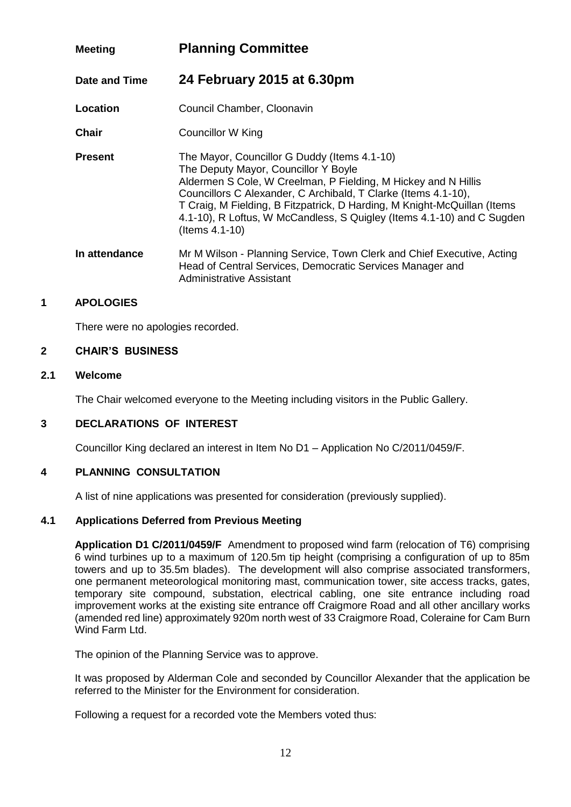# **Meeting Planning Committee**

**Date and Time 24 February 2015 at 6.30pm**

**Location Council Chamber, Cloonavin** 

**Chair** Councillor W King

**Present** The Mayor, Councillor G Duddy (Items 4.1-10) The Deputy Mayor, Councillor Y Boyle Aldermen S Cole, W Creelman, P Fielding, M Hickey and N Hillis Councillors C Alexander, C Archibald, T Clarke (Items 4.1-10), T Craig, M Fielding, B Fitzpatrick, D Harding, M Knight-McQuillan (Items 4.1-10), R Loftus, W McCandless, S Quigley (Items 4.1-10) and C Sugden (Items 4.1-10)

**In attendance** Mr M Wilson - Planning Service, Town Clerk and Chief Executive, Acting Head of Central Services, Democratic Services Manager and Administrative Assistant

# **1 APOLOGIES**

There were no apologies recorded.

# **2 CHAIR'S BUSINESS**

# **2.1 Welcome**

The Chair welcomed everyone to the Meeting including visitors in the Public Gallery.

# **3 DECLARATIONS OF INTEREST**

Councillor King declared an interest in Item No D1 – Application No C/2011/0459/F.

# **4 PLANNING CONSULTATION**

A list of nine applications was presented for consideration (previously supplied).

# **4.1 Applications Deferred from Previous Meeting**

**Application D1 C/2011/0459/F** Amendment to proposed wind farm (relocation of T6) comprising 6 wind turbines up to a maximum of 120.5m tip height (comprising a configuration of up to 85m towers and up to 35.5m blades). The development will also comprise associated transformers, one permanent meteorological monitoring mast, communication tower, site access tracks, gates, temporary site compound, substation, electrical cabling, one site entrance including road improvement works at the existing site entrance off Craigmore Road and all other ancillary works (amended red line) approximately 920m north west of 33 Craigmore Road, Coleraine for Cam Burn Wind Farm Ltd.

The opinion of the Planning Service was to approve.

It was proposed by Alderman Cole and seconded by Councillor Alexander that the application be referred to the Minister for the Environment for consideration.

Following a request for a recorded vote the Members voted thus: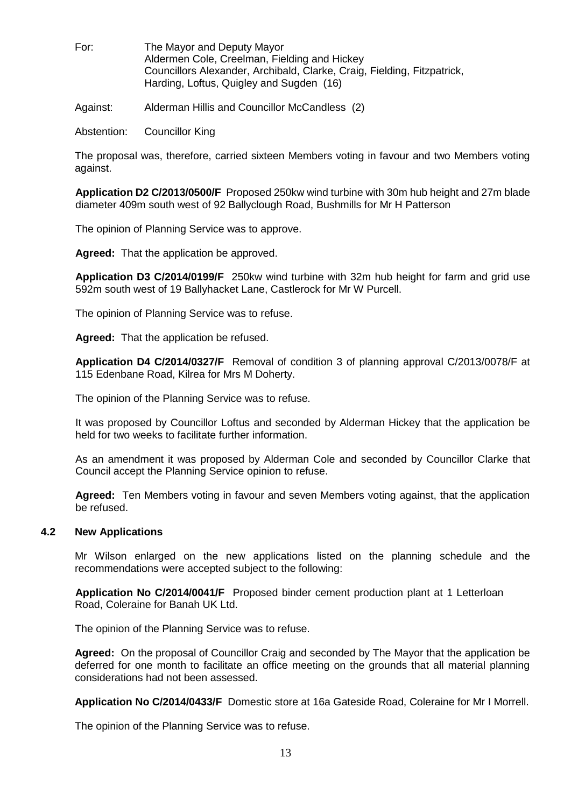| For: | The Mayor and Deputy Mayor                                              |
|------|-------------------------------------------------------------------------|
|      | Aldermen Cole, Creelman, Fielding and Hickey                            |
|      | Councillors Alexander, Archibald, Clarke, Craig, Fielding, Fitzpatrick, |
|      | Harding, Loftus, Quigley and Sugden (16)                                |

Against: Alderman Hillis and Councillor McCandless (2)

Abstention: Councillor King

The proposal was, therefore, carried sixteen Members voting in favour and two Members voting against.

**Application D2 C/2013/0500/F** Proposed 250kw wind turbine with 30m hub height and 27m blade diameter 409m south west of 92 Ballyclough Road, Bushmills for Mr H Patterson

The opinion of Planning Service was to approve.

**Agreed:** That the application be approved.

**Application D3 C/2014/0199/F** 250kw wind turbine with 32m hub height for farm and grid use 592m south west of 19 Ballyhacket Lane, Castlerock for Mr W Purcell.

The opinion of Planning Service was to refuse.

**Agreed:** That the application be refused.

**Application D4 C/2014/0327/F** Removal of condition 3 of planning approval C/2013/0078/F at 115 Edenbane Road, Kilrea for Mrs M Doherty.

The opinion of the Planning Service was to refuse.

It was proposed by Councillor Loftus and seconded by Alderman Hickey that the application be held for two weeks to facilitate further information.

As an amendment it was proposed by Alderman Cole and seconded by Councillor Clarke that Council accept the Planning Service opinion to refuse.

**Agreed:** Ten Members voting in favour and seven Members voting against, that the application be refused.

### **4.2 New Applications**

Mr Wilson enlarged on the new applications listed on the planning schedule and the recommendations were accepted subject to the following:

**Application No C/2014/0041/F** Proposed binder cement production plant at 1 Letterloan Road, Coleraine for Banah UK Ltd.

The opinion of the Planning Service was to refuse.

**Agreed:** On the proposal of Councillor Craig and seconded by The Mayor that the application be deferred for one month to facilitate an office meeting on the grounds that all material planning considerations had not been assessed.

**Application No C/2014/0433/F** Domestic store at 16a Gateside Road, Coleraine for Mr I Morrell.

The opinion of the Planning Service was to refuse.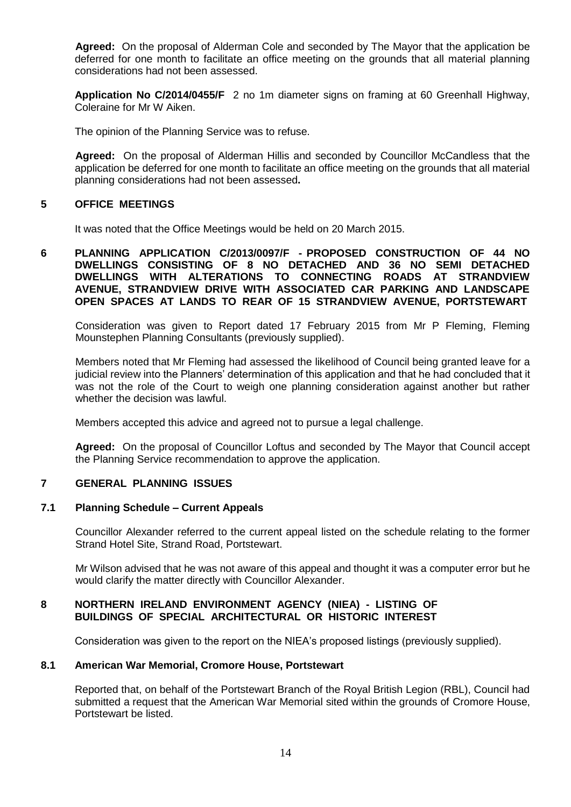**Agreed:** On the proposal of Alderman Cole and seconded by The Mayor that the application be deferred for one month to facilitate an office meeting on the grounds that all material planning considerations had not been assessed.

**Application No C/2014/0455/F** 2 no 1m diameter signs on framing at 60 Greenhall Highway, Coleraine for Mr W Aiken.

The opinion of the Planning Service was to refuse.

**Agreed:** On the proposal of Alderman Hillis and seconded by Councillor McCandless that the application be deferred for one month to facilitate an office meeting on the grounds that all material planning considerations had not been assessed**.**

## **5 OFFICE MEETINGS**

It was noted that the Office Meetings would be held on 20 March 2015.

**6 PLANNING APPLICATION C/2013/0097/F - PROPOSED CONSTRUCTION OF 44 NO DWELLINGS CONSISTING OF 8 NO DETACHED AND 36 NO SEMI DETACHED DWELLINGS WITH ALTERATIONS TO CONNECTING ROADS AT STRANDVIEW AVENUE, STRANDVIEW DRIVE WITH ASSOCIATED CAR PARKING AND LANDSCAPE OPEN SPACES AT LANDS TO REAR OF 15 STRANDVIEW AVENUE, PORTSTEWART**

Consideration was given to Report dated 17 February 2015 from Mr P Fleming, Fleming Mounstephen Planning Consultants (previously supplied).

Members noted that Mr Fleming had assessed the likelihood of Council being granted leave for a judicial review into the Planners' determination of this application and that he had concluded that it was not the role of the Court to weigh one planning consideration against another but rather whether the decision was lawful.

Members accepted this advice and agreed not to pursue a legal challenge.

**Agreed:** On the proposal of Councillor Loftus and seconded by The Mayor that Council accept the Planning Service recommendation to approve the application.

# **7 GENERAL PLANNING ISSUES**

#### **7.1 Planning Schedule – Current Appeals**

Councillor Alexander referred to the current appeal listed on the schedule relating to the former Strand Hotel Site, Strand Road, Portstewart.

Mr Wilson advised that he was not aware of this appeal and thought it was a computer error but he would clarify the matter directly with Councillor Alexander.

### **8 NORTHERN IRELAND ENVIRONMENT AGENCY (NIEA) - LISTING OF BUILDINGS OF SPECIAL ARCHITECTURAL OR HISTORIC INTEREST**

Consideration was given to the report on the NIEA's proposed listings (previously supplied).

# **8.1 American War Memorial, Cromore House, Portstewart**

Reported that, on behalf of the Portstewart Branch of the Royal British Legion (RBL), Council had submitted a request that the American War Memorial sited within the grounds of Cromore House, Portstewart be listed.